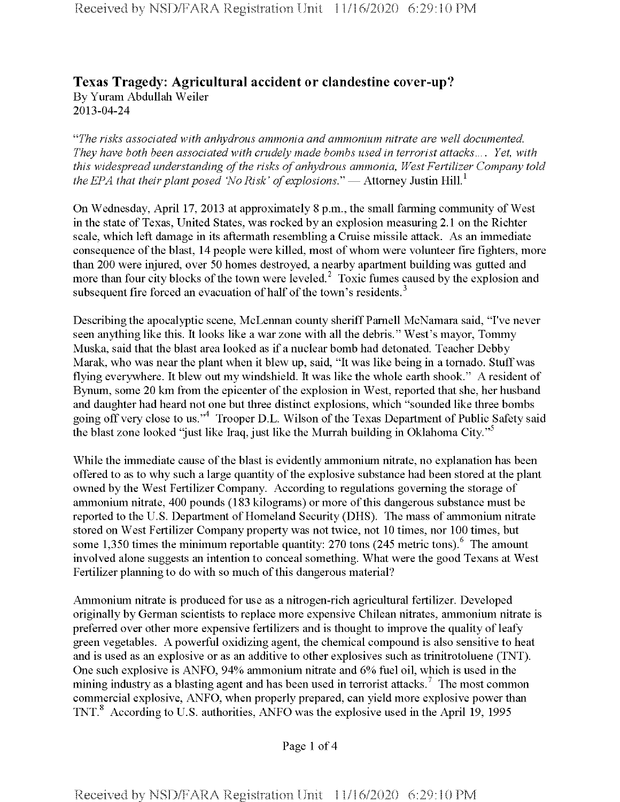## **Texas Tragedy: Agricultural accident or clandestine cover-up?** By Yuram Abdullah Weiler 2013-04-24

*"The risks associated with anhydrous ammonia and ammonium nitrate are well documented. They have both been associated with crudely made bombs used in terrorist attacks.... Yet, with this* widespread understanding of the risks of anhydrous ammonia, West Fertilizer Company told *the EPA that their plant posed 'No Risk' of explosions." — Attorney Justin Hill.*<sup>1</sup>

On Wednesday, April 17, 2013 at approximately 8 p.m., the small farming community of West in the state of Texas, United States, was rocked by an explosion measuring 2.1 on the Richter scale, which left damage in its aftermath resembling a Cruise missile attack. As an immediate consequence of the blast, 14 people were killed, most of whom were volunteer fire fighters, more than 200 were injured, over 50 homes destroyed, a nearby apartment building was gutted and more than four city blocks of the town were leveled.<sup>2</sup> Toxic fumes caused by the explosion and subsequent fire forced an evacuation of half of the town's residents.<sup>3</sup>

Describing the apocalyptic scene, McLennan county sheriff Parnell McNamara said, "I've never seen anything like this. It looks like a war zone with all the debris." West's mayor, Tommy Muska, said that the blast area looked as if a nuclear bomb had detonated. Teacher Debby Marak, who was near the plant when it blew up, said, "It was like being in a tornado. Stuff was flying everywhere. It blew out my windshield. It was like the whole earth shook." A resident of Bynum, some 20 km from the epicenter of the explosion in West, reported that she, her husband and daughter had heard not one but three distinct explosions, which "sounded like three bombs going off very close to us."<sup>4</sup> Trooper D.L. Wilson of the Texas Department of Public Safety said the blast zone looked "just like Iraq, just like the Murrah building in Oklahoma City."<sup>5</sup>

While the immediate cause of the blast is evidently ammonium nitrate, no explanation has been offered to as to why such a large quantity of the explosive substance had been stored at the plant owned by the West Fertilizer Company. According to regulations governing the storage of ammonium nitrate, 400 pounds (183 kilograms) or more of this dangerous substance must be reported to the U.S. Department of Homeland Security (DHS). The mass of ammonium nitrate stored on West Fertilizer Company property was not twice, not 10 times, nor 100 times, but some 1,350 times the minimum reportable quantity: 270 tons  $(245 \text{ metric tons})$ .<sup>6</sup> The amount involved alone suggests an intention to conceal something. What were the good Texans at West Fertilizer planning to do with so much of this dangerous material?

Ammonium nitrate is produced for use as a nitrogen-rich agricultural fertilizer. Developed originally by German scientists to replace more expensive Chilean nitrates, ammonium nitrate is preferred over other more expensive fertilizers and is thought to improve the quality of leafy green vegetables. A powerful oxidizing agent, the chemical compound is also sensitive to heat and is used as an explosive or as an additive to other explosives such as trinitrotoluene (TNT). One such explosive is ANFO, 94% ammonium nitrate and 6% fuel oil, which is used in the mining industry as a blasting agent and has been used in terrorist attacks.<sup>7</sup> The most common commercial explosive, ANFO, when properly prepared, can yield more explosive power than TNT.<sup>8</sup> According to U.S. authorities, ANFO was the explosive used in the April 19, 1995

Page <sup>1</sup> of 4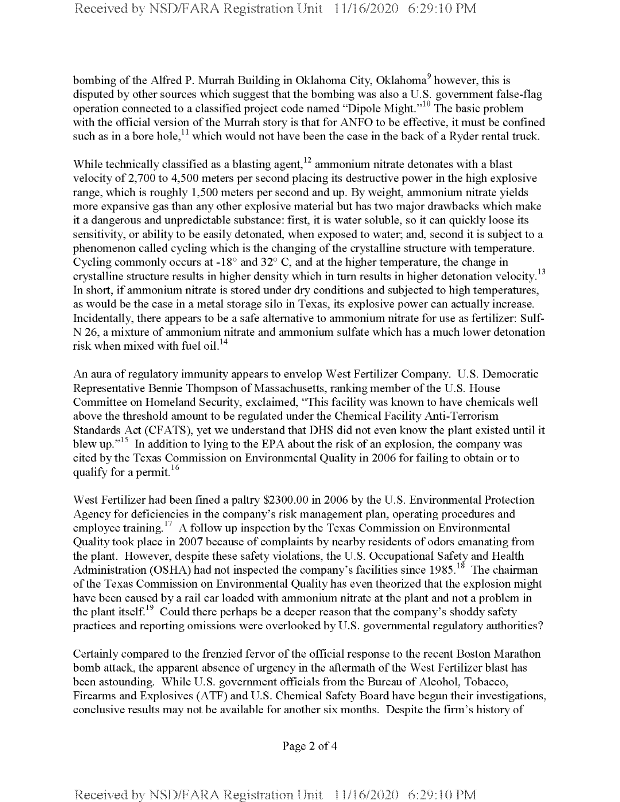bombing of the Alfred P. Murrah Building in Oklahoma City, Oklahoma<sup>9</sup> however, this is disputed by other sources which suggest that the bombing was also a U. S. government false-flag operation connected to a classified project code named "Dipole Might."10 The basic problem with the official version of the Murrah story is that for ANFO to be effective, it must be confined such as in a bore hole,<sup>11</sup> which would not have been the case in the back of a Ryder rental truck.

While technically classified as a blasting agent,  $12$  ammonium nitrate detonates with a blast velocity of 2,700 to 4,500 meters per second placing its destructive power in the high explosive range, which is roughly 1,500 meters per second and up. By weight, ammonium nitrate yields more expansive gas than any other explosive material but has two major drawbacks which make it a dangerous and unpredictable substance: first, it is water soluble, so it can quickly loose its sensitivity, or ability to be easily detonated, when exposed to water; and, second it is subject to a phenomenon called cycling which is the changing of the crystalline structure with temperature. Cycling commonly occurs at -18° and 32° C, and at the higher temperature, the change in crystalline structure results in higher density which in turn results in higher detonation velocity.<sup>13</sup> In short, if ammonium nitrate is stored under dry conditions and subjected to high temperatures, as would be the case in a metal storage silo in Texas, its explosive power can actually increase. Incidentally, there appears to be a safe alternative to ammonium nitrate for use as fertilizer: Sulf-N 26, a mixture of ammonium nitrate and ammonium sulfate which has a much lower detonation risk when mixed with fuel oil.<sup>14</sup>

An aura of regulatory immunity appears to envelop West Fertilizer Company. U.S. Democratic Representative Bennie Thompson of Massachusetts, ranking member of the U.S. House Committee on Homeland Security, exclaimed, "This facility was known to have chemicals well above the threshold amount to be regulated under the Chemical Facility Anti-Terrorism Standards Act (CFATS), yet we understand that DHS did not even know the plant existed until it blew up."<sup>15</sup> In addition to lying to the EPA about the risk of an explosion, the company was cited by the Texas Commission on Environmental Quality in 2006 for failing to obtain or to qualify for a permit.<sup>16</sup>

West Fertilizer had been fined a paltry \$2300.00 in 2006 by the U.S. Environmental Protection Agency for deficiencies in the company's risk management plan, operating procedures and employee training.<sup>17</sup> A follow up inspection by the Texas Commission on Environmental Quality took place in 2007 because of complaints by nearby residents of odors emanating from the plant. However, despite these safety violations, the U.S. Occupational Safety and Health Administration (OSHA) had not inspected the company's facilities since 1985.<sup>18</sup> The chairman ofthe Texas Commission on Environmental Quality has even theorized that the explosion might have been caused by a rail car loaded with ammonium nitrate at the plant and not a problem in the plant itself.<sup>19</sup> Could there perhaps be a deeper reason that the company's shoddy safety practices and reporting omissions were overlooked by U.S. governmental regulatory authorities?

Certainly compared to the frenzied fervor of the official response to the recent Boston Marathon bomb attack, the apparent absence of urgency in the aftermath of the West Fertilizer blast has been astounding. While U.S. government officials from the Bureau of Alcohol, Tobacco, Firearms and Explosives (ATF) and U.S. Chemical Safety Board have begun their investigations, conclusive results may not be available for another six months. Despite the firm's history of

Page 2 of 4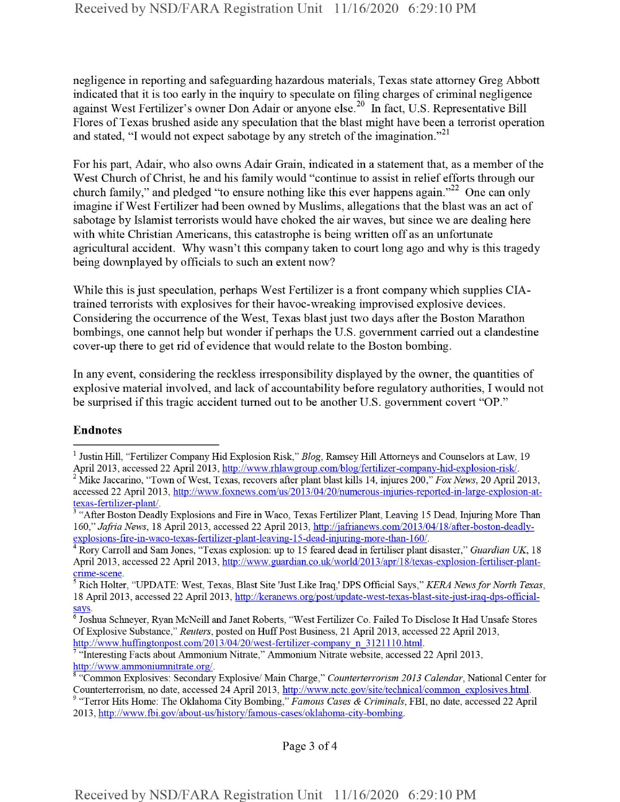negligence in reporting and safeguarding hazardous materials, Texas state attorney Greg Abbott indicated that it is too early in the inquiry to speculate on filing charges of criminal negligence against West Fertilizer's owner Don Adair or anyone else.<sup>20</sup> In fact, U.S. Representative Bill Flores of Texas brushed aside any speculation that the blast might have been a terrorist operation and stated, "I would not expect sabotage by any stretch of the imagination."<sup>21</sup>

For his part, Adair, who also owns Adair Grain, indicated in a statement that, as a member of the West Church of Christ, he and his family would "continue to assist in relief efforts through our church family," and pledged "to ensure nothing like this ever happens again."<sup>22</sup> One can only imagine if West Fertilizer had been owned by Muslims, allegations that the blast was an act of sabotage by Islamist terrorists would have choked the air waves, but since we are dealing here with white Christian Americans, this catastrophe is being written off as an unfortunate agricultural accident. Why wasn't this company taken to court long ago and why is this tragedy being downplayed by officials to such an extent now?

While this is just speculation, perhaps West Fertilizer is a front company which supplies CIAtrained terrorists with explosives for their havoc-wreaking improvised explosive devices. Considering the occurrence of the West, Texas blast just two days after the Boston Marathon bombings, one cannot help but wonder if perhaps the U.S. government carried out a clandestine cover-up there to get rid of evidence that would relate to the Boston bombing.

In any event, considering the reckless irresponsibility displayed by the owner, the quantities of explosive material involved, and lack of accountability before regulatory authorities, I would not be surprised ifthis tragic accident turned out to be another U.S. government covert "OP."

## Endnotes

Page 3 of 4

<sup>1</sup> Justin Hill, "Fertilizer Company Hid Explosion Risk," *Blog,* Ramsey Hill Attorneys and Counselors at Law, 19 April 2013, accessed 22 April 2013, http://www.rhlawgroup.com/blog/fertilizer-companv-hid-explosion-risk/. 2 Mike Jaccarino, "Town ofWest, Texas, recovers after plant blast kills 14, injures 200," *Fox News,* 20 April 2013, accessed 22 April 2013, http://www.foxnews.com/us/2013/04/20/numerous-iniuries-reported-in-large-explosion-at-

texas-fertilizer-plant/.

<sup>&</sup>lt;sup>3</sup> "After Boston Deadly Explosions and Fire in Waco, Texas Fertilizer Plant, Leaving 15 Dead, Injuring More Than 160," *Jafitia News,* 18 April 2013, accessed 22 April 2013, http://iaffianews.com/2013/04/18/after-boston-deadlyexplosions-fire-in-waco-texas-fertilizer-plant-leaving-15-dead-miurmg-more-than-160/.

<sup>4</sup> Rory Carroll and Sam Jones, "Texas explosion: up to 15 feared dead in fertiliser plant disaster," *Guardian UK,* 18 April 2013, accessed 22 April 2013, http://www.guardian.co.uk/world/2013/apr/18/texas-explosion-fertiliser-plantcrime-scene.

<sup>5</sup> Rich Holter, "UPDATE: West, Texas, Blast Site 'Just Like Iraq,' DPS Official Says," *KERA NewsforNorth Texas,* 18 April 2013, accessed 22 April 2013, http://keranews.org/post/update-west-texas-blast-site-iust-iraq-dps-officialsays.

<sup>&</sup>lt;sup>6</sup> Joshua Schneyer, Ryan McNeill and Janet Roberts, "West Fertilizer Co. Failed To Disclose It Had Unsafe Stores OfExplosive Substance," *Reuters,* posted on HuffPost Business, 21 April 2013, accessed 22 April 2013, http://www.huffmgtonpost.com/2013/04/20/west-fertilizer-company n 3121110.html.

<sup>7</sup> "Interesting Facts about Ammonium Nitrate," Ammonium Nitrate website, accessed 22 April 2013, http://www.ammoniumnitrate.org/.

<sup>8</sup> "Common Explosives: Secondary Explosive/ Main Charge," *Counterterrorism 2013 Calendar,* National Center for Counterterrorism, no date, accessed 24 April 2013, http://www.nctc.gov/site/technical/common\_explosives.html.

<sup>9</sup> "Terror Hits Home: The Oklahoma City Bombing," *Famous Cases & Criminals,* FBI, no date, accessed 22 April 2013, http://www.fbi.gov/about-us/historv/famous-cases/oklahoma-citv-bombing.